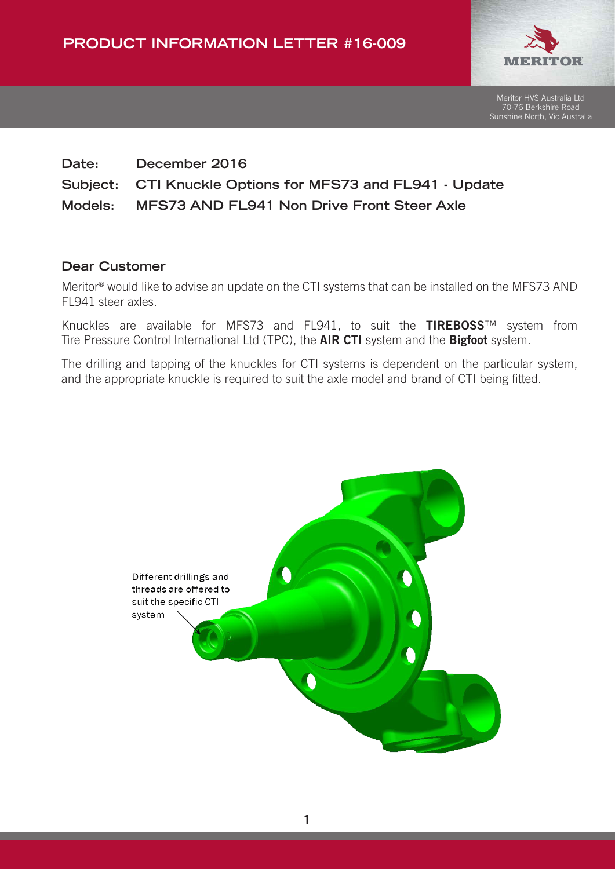

Meritor HVS Australia Ltd 70-76 Berkshire Road Sunshine North, Vic Australia

## **Date: December 2016 Subject: CTI Knuckle Options for MFS73 and FL941 - Update Models: MFS73 AND FL941 Non Drive Front Steer Axle**

## **Dear Customer**

Meritor® would like to advise an update on the CTI systems that can be installed on the MFS73 AND FL941 steer axles.

Knuckles are available for MFS73 and FL941, to suit the TIREBOSS™ system from Tire Pressure Control International Ltd (TPC), the **AIR CTI** system and the **Bigfoot** system.

The drilling and tapping of the knuckles for CTI systems is dependent on the particular system, and the appropriate knuckle is required to suit the axle model and brand of CTI being fitted.